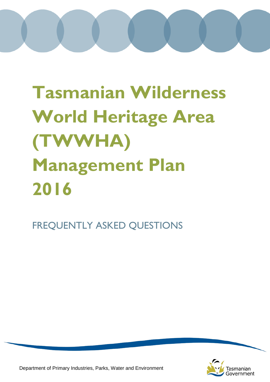# **Tasmanian Wilderness World Heritage Area (TWWHA) Management Plan 2016**

FREQUENTLY ASKED QUESTIONS



Department of Primary Industries, Parks, Water and Environment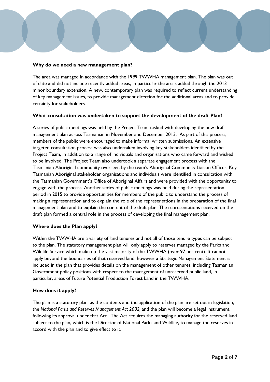### **Why do we need a new management plan?**

The area was managed in accordance with the 1999 TWWHA management plan. The plan was out of date and did not include recently added areas, in particular the areas added through the 2013 minor boundary extension. A new, contemporary plan was required to reflect current understanding of key management issues, to provide management direction for the additional areas and to provide certainty for stakeholders.

# **What consultation was undertaken to support the development of the draft Plan?**

A series of public meetings was held by the Project Team tasked with developing the new draft management plan across Tasmanian in November and December 2013. As part of this process, members of the public were encouraged to make informal written submissions. An extensive targeted consultation process was also undertaken involving key stakeholders identified by the Project Team, in addition to a range of individuals and organisations who came forward and wished to be involved. The Project Team also undertook a separate engagement process with the Tasmanian Aboriginal community overseen by the team's Aboriginal Community Liaison Officer. Key Tasmanian Aboriginal stakeholder organisations and individuals were identified in consultation with the Tasmanian Government's Office of Aboriginal Affairs and were provided with the opportunity to engage with the process. Another series of public meetings was held during the representation period in 2015 to provide opportunities for members of the public to understand the process of making a representation and to explain the role of the representations in the preparation of the final management plan and to explain the content of the draft plan. The representations received on the draft plan formed a central role in the process of developing the final management plan.

# **Where does the Plan apply?**

Within the TWWHA are a variety of land tenures and not all of those tenure types can be subject to the plan. The statutory management plan will only apply to reserves managed by the Parks and Wildlife Service which make up the vast majority of the TWWHA (over 97 per cent). It cannot apply beyond the boundaries of that reserved land, however a Strategic Management Statement is included in the plan that provides details on the management of other tenures, including Tasmanian Government policy positions with respect to the management of unreserved public land, in particular, areas of Future Potential Production Forest Land in the TWWHA.

#### **How does it apply?**

The plan is a statutory plan, as the contents and the application of the plan are set out in legislation, the *National Parks and Reserves Management Act 2002,* and the plan will become a legal instrument following its approval under that Act. The Act requires the managing authority for the reserved land subject to the plan, which is the Director of National Parks and Wildlife, to manage the reserves in accord with the plan and to give effect to it.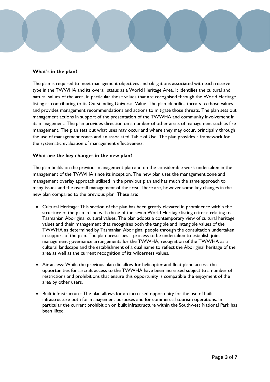# **What's in the plan?**

The plan is required to meet management objectives and obligations associated with each reserve type in the TWWHA and its overall status as a World Heritage Area. It identifies the cultural and natural values of the area, in particular those values that are recognised through the World Heritage listing as contributing to its Outstanding Universal Value. The plan identifies threats to those values and provides management recommendations and actions to mitigate those threats. The plan sets out management actions in support of the presentation of the TWWHA and community involvement in its management. The plan provides direction on a number of other areas of management such as fire management. The plan sets out what uses may occur and where they may occur, principally through the use of management zones and an associated Table of Use. The plan provides a framework for the systematic evaluation of management effectiveness.

### **What are the key changes in the new plan?**

The plan builds on the previous management plan and on the considerable work undertaken in the management of the TWWHA since its inception. The new plan uses the management zone and management overlay approach utilised in the previous plan and has much the same approach to many issues and the overall management of the area. There are, however some key changes in the new plan compared to the previous plan. These are:

- Cultural Heritage: This section of the plan has been greatly elevated in prominence within the structure of the plan in line with three of the seven World Heritage listing criteria relating to Tasmanian Aboriginal cultural values. The plan adopts a contemporary view of cultural heritage values and their management that recognises both the tangible and intangible values of the TWWHA as determined by Tasmanian Aboriginal people through the consultation undertaken in support of the plan. The plan prescribes a process to be undertaken to establish joint management governance arrangements for the TWWHA, recognition of the TWWHA as a cultural landscape and the establishment of a dual name to reflect the Aboriginal heritage of the area as well as the current recognition of its wilderness values.
- Air access: While the previous plan did allow for helicopter and float plane access, the opportunities for aircraft access to the TWWHA have been increased subject to a number of restrictions and prohibitions that ensure this opportunity is compatible the enjoyment of the area by other users.
- Built infrastructure: The plan allows for an increased opportunity for the use of built infrastructure both for management purposes and for commercial tourism operations. In particular the current prohibition on built infrastructure within the Southwest National Park has been lifted.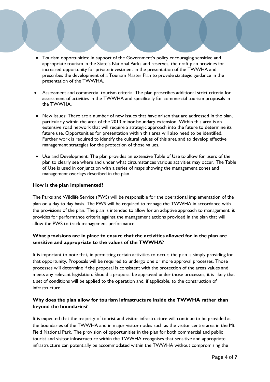- Tourism opportunities: In support of the Government's policy encouraging sensitive and appropriate tourism in the State's National Parks and reserves, the draft plan provides for increased opportunity for private investment in the presentation of the TWWHA and prescribes the development of a Tourism Master Plan to provide strategic guidance in the presentation of the TWWHA.
- Assessment and commercial tourism criteria: The plan prescribes additional strict criteria for assessment of activities in the TWWHA and specifically for commercial tourism proposals in the TWWHA.
- New issues: There are a number of new issues that have arisen that are addressed in the plan, particularly within the area of the 2013 minor boundary extension. Within this area is an extensive road network that will require a strategic approach into the future to determine its future use. Opportunities for presentation within this area will also need to be identified. Further work is required to identify the cultural values of this area and to develop effective management strategies for the protection of those values.
- Use and Development: The plan provides an extensive Table of Use to allow for users of the plan to clearly see where and under what circumstances various activities may occur. The Table of Use is used in conjunction with a series of maps showing the management zones and management overlays described in the plan.

# **How is the plan implemented?**

The Parks and Wildlife Service (PWS) will be responsible for the operational implementation of the plan on a day to day basis. The PWS will be required to manage the TWWHA in accordance with the provisions of the plan. The plan is intended to allow for an adaptive approach to management: it provides for performance criteria against the management actions provided in the plan that will allow the PWS to track management performance.

# **What provisions are in place to ensure that the activities allowed for in the plan are sensitive and appropriate to the values of the TWWHA?**

It is important to note that, in permitting certain activities to occur, the plan is simply providing for that opportunity. Proposals will be required to undergo one or more approval processes. Those processes will determine if the proposal is consistent with the protection of the areas values and meets any relevant legislation. Should a proposal be approved under those processes, it is likely that a set of conditions will be applied to the operation and, if applicable, to the construction of infrastructure.

# **Why does the plan allow for tourism infrastructure inside the TWWHA rather than beyond the boundaries?**

It is expected that the majority of tourist and visitor infrastructure will continue to be provided at the boundaries of the TWWHA and in major visitor nodes such as the visitor centre area in the Mt Field National Park. The provision of opportunities in the plan for both commercial and public tourist and visitor infrastructure within the TWWHA recognises that sensitive and appropriate infrastructure can potentially be accommodated within the TWWHA without compromising the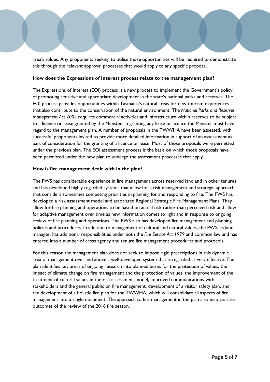area's values. Any proponents seeking to utilise those opportunities will be required to demonstrate this through the relevant approval processes that would apply to any specific proposal.

#### **How does the Expressions of Interest process relate to the management plan?**

The Expressions of Interest (EOI) process is a new process to implement the Government's policy of promoting sensitive and appropriate development in the state's national parks and reserves. The EOI process provides opportunities within Tasmania's natural areas for new tourism experiences that also contribute to the conservation of the natural environment. The *National Parks and Reserves Management Act 2002* requires commercial activities and infrastructure within reserves to be subject to a licence or lease granted by the Minister. In granting any lease or licence the Minister must have regard to the management plan. A number of proposals in the TWWHA have been assessed, with successful proponents invited to provide more detailed information in support of an assessment as part of consideration for the granting of a licence or lease. Most of those proposals were permitted under the previous plan. The EOI assessment process is the basis on which those proposals have been permitted under the new plan to undergo the assessment processes that apply.

#### **How is fire management dealt with in the plan?**

The PWS has considerable experience in fire management across reserved land and in other tenures and has developed highly regarded systems that allow for a risk management and strategic approach that considers sometimes competing priorities in planning for and responding to fire. The PWS has developed a risk assessment model and associated Regional Strategic Fire Management Plans. They allow for fire planning and operations to be based on actual risk rather than perceived risk and allow for adaptive management over time as new information comes to light and in response to ongoing review of fire planning and operations. The PWS also has developed fire management and planning policies and procedures. In addition to management of cultural and natural values, the PWS, as land manager, has additional responsibilities under both the *Fire Service Act 1979* and common law and has entered into a number of cross agency and tenure fire management procedures and protocols.

For this reason the management plan does not seek to impose rigid prescriptions in this dynamic area of management over and above a well-developed system that is regarded as very effective. The plan identifies key areas of ongoing research into planned burns for the protection of values, the impact of climate change on fire management and the protection of values, the improvement of the treatment of cultural values in the risk assessment model, improved communications with stakeholders and the general public on fire management, development of a visitor safety plan, and the development of a holistic fire plan for the TWWHA, which will consolidate all aspects of fire management into a single document. The approach to fire management in the plan also incorporates outcomes of the review of the 2016 fire season.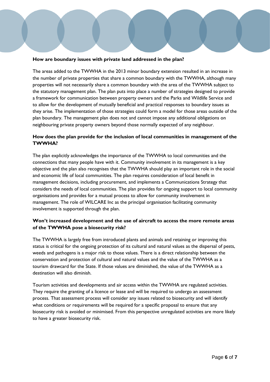# **How are boundary issues with private land addressed in the plan?**

The areas added to the TWWHA in the 2013 minor boundary extension resulted in an increase in the number of private properties that share a common boundary with the TWWHA, although many properties will not necessarily share a common boundary with the area of the TWWHA subject to the statutory management plan. The plan puts into place a number of strategies designed to provide a framework for communication between property owners and the Parks and Wildlife Service and to allow for the development of mutually beneficial and practical responses to boundary issues as they arise. The implementation of those strategies could form a model for those areas outside of the plan boundary. The management plan does not and cannot impose any additional obligations on neighbouring private property owners beyond those normally expected of any neighbour.

# **How does the plan provide for the inclusion of local communities in management of the TWWHA?**

The plan explicitly acknowledges the importance of the TWWHA to local communities and the connections that many people have with it. Community involvement in its management is a key objective and the plan also recognises that the TWWHA should play an important role in the social and economic life of local communities. The plan requires consideration of local benefit in management decisions, including procurement, and implements a Communications Strategy that considers the needs of local communities. The plan provides for ongoing support to local community organisations and provides for a mutual process to allow for community involvement in management. The role of WILCARE Inc as the principal organisation facilitating community involvement is supported through the plan.

# **Won't increased development and the use of aircraft to access the more remote areas of the TWWHA pose a biosecurity risk?**

The TWWHA is largely free from introduced plants and animals and retaining or improving this status is critical for the ongoing protection of its cultural and natural values as the dispersal of pests, weeds and pathogens is a major risk to those values. There is a direct relationship between the conservation and protection of cultural and natural values and the value of the TWWHA as a tourism drawcard for the State. If those values are diminished, the value of the TWWHA as a destination will also diminish.

Tourism activities and developments and air access within the TWWHA are regulated activities. They require the granting of a licence or lease and will be required to undergo an assessment process. That assessment process will consider any issues related to biosecurity and will identify what conditions or requirements will be required for a specific proposal to ensure that any biosecurity risk is avoided or minimised. From this perspective unregulated activities are more likely to have a greater biosecurity risk.